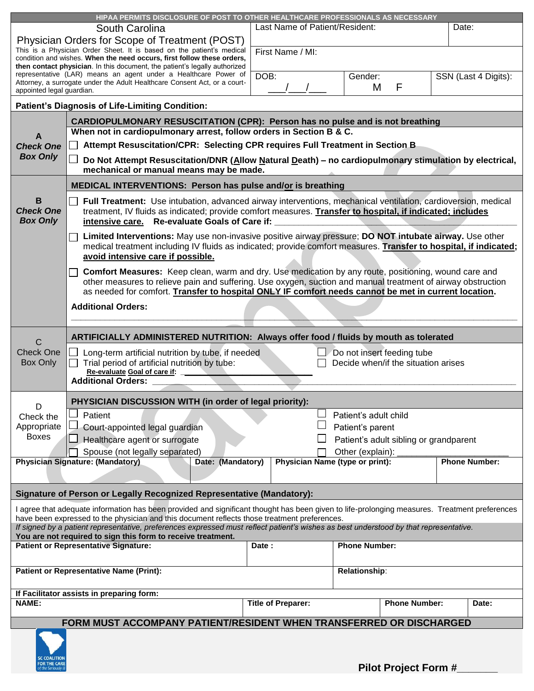| HIPAA PERMITS DISCLOSURE OF POST TO OTHER HEALTHCARE PROFESSIONALS AS NECESSARY                                                              |                                                                                                                                                                                                                      |                                         |                       |                                        |  |                      |  |
|----------------------------------------------------------------------------------------------------------------------------------------------|----------------------------------------------------------------------------------------------------------------------------------------------------------------------------------------------------------------------|-----------------------------------------|-----------------------|----------------------------------------|--|----------------------|--|
|                                                                                                                                              | South Carolina                                                                                                                                                                                                       | Last Name of Patient/Resident:<br>Date: |                       |                                        |  |                      |  |
| Physician Orders for Scope of Treatment (POST)                                                                                               |                                                                                                                                                                                                                      |                                         |                       |                                        |  |                      |  |
|                                                                                                                                              | This is a Physician Order Sheet. It is based on the patient's medical                                                                                                                                                |                                         |                       |                                        |  |                      |  |
|                                                                                                                                              | condition and wishes. When the need occurs, first follow these orders,                                                                                                                                               | First Name / MI:                        |                       |                                        |  |                      |  |
|                                                                                                                                              | then contact physician. In this document, the patient's legally authorized                                                                                                                                           |                                         |                       |                                        |  |                      |  |
|                                                                                                                                              | representative (LAR) means an agent under a Healthcare Power of<br>Attorney, a surrogate under the Adult Healthcare Consent Act, or a court-                                                                         | DOB:                                    | Gender:               |                                        |  | SSN (Last 4 Digits): |  |
| appointed legal guardian.                                                                                                                    |                                                                                                                                                                                                                      |                                         | М                     | F                                      |  |                      |  |
|                                                                                                                                              | <b>Patient's Diagnosis of Life-Limiting Condition:</b>                                                                                                                                                               |                                         |                       |                                        |  |                      |  |
|                                                                                                                                              |                                                                                                                                                                                                                      |                                         |                       |                                        |  |                      |  |
|                                                                                                                                              | CARDIOPULMONARY RESUSCITATION (CPR): Person has no pulse and is not breathing<br>When not in cardiopulmonary arrest, follow orders in Section B & C.                                                                 |                                         |                       |                                        |  |                      |  |
|                                                                                                                                              | Attempt Resuscitation/CPR: Selecting CPR requires Full Treatment in Section B.                                                                                                                                       |                                         |                       |                                        |  |                      |  |
| <b>Check One</b>                                                                                                                             |                                                                                                                                                                                                                      |                                         |                       |                                        |  |                      |  |
| <b>Box Only</b>                                                                                                                              | Do Not Attempt Resuscitation/DNR (Allow Natural Death) - no cardiopulmonary stimulation by electrical,                                                                                                               |                                         |                       |                                        |  |                      |  |
|                                                                                                                                              | mechanical or manual means may be made.                                                                                                                                                                              |                                         |                       |                                        |  |                      |  |
|                                                                                                                                              | MEDICAL INTERVENTIONS: Person has pulse and/or is breathing                                                                                                                                                          |                                         |                       |                                        |  |                      |  |
| в                                                                                                                                            | Full Treatment: Use intubation, advanced airway interventions, mechanical ventilation, cardioversion, medical                                                                                                        |                                         |                       |                                        |  |                      |  |
| <b>Check One</b>                                                                                                                             | treatment, IV fluids as indicated; provide comfort measures. Transfer to hospital, if indicated; includes                                                                                                            |                                         |                       |                                        |  |                      |  |
| <b>Box Only</b>                                                                                                                              | intensive care. Re-evaluate Goals of Care if:                                                                                                                                                                        |                                         |                       |                                        |  |                      |  |
|                                                                                                                                              | Limited Interventions: May use non-invasive positive airway pressure; DO NOT intubate airway. Use other                                                                                                              |                                         |                       |                                        |  |                      |  |
|                                                                                                                                              | medical treatment including IV fluids as indicated; provide comfort measures. Transfer to hospital, if indicated;                                                                                                    |                                         |                       |                                        |  |                      |  |
|                                                                                                                                              | avoid intensive care if possible.                                                                                                                                                                                    |                                         |                       |                                        |  |                      |  |
|                                                                                                                                              |                                                                                                                                                                                                                      |                                         |                       |                                        |  |                      |  |
|                                                                                                                                              | Comfort Measures: Keep clean, warm and dry. Use medication by any route, positioning, wound care and<br>other measures to relieve pain and suffering. Use oxygen, suction and manual treatment of airway obstruction |                                         |                       |                                        |  |                      |  |
|                                                                                                                                              | as needed for comfort. Transfer to hospital ONLY IF comfort needs cannot be met in current location.                                                                                                                 |                                         |                       |                                        |  |                      |  |
|                                                                                                                                              | <b>Additional Orders:</b>                                                                                                                                                                                            |                                         |                       |                                        |  |                      |  |
|                                                                                                                                              |                                                                                                                                                                                                                      |                                         |                       |                                        |  |                      |  |
|                                                                                                                                              |                                                                                                                                                                                                                      |                                         |                       |                                        |  |                      |  |
| C                                                                                                                                            | ARTIFICIALLY ADMINISTERED NUTRITION: Always offer food / fluids by mouth as tolerated                                                                                                                                |                                         |                       |                                        |  |                      |  |
| <b>Check One</b>                                                                                                                             | Long-term artificial nutrition by tube, if needed                                                                                                                                                                    |                                         |                       | $\Box$ Do not insert feeding tube      |  |                      |  |
| Box Only                                                                                                                                     | Trial period of artificial nutrition by tube:                                                                                                                                                                        |                                         |                       | Decide when/if the situation arises    |  |                      |  |
|                                                                                                                                              | Re-evaluate Goal of care if:                                                                                                                                                                                         |                                         |                       |                                        |  |                      |  |
|                                                                                                                                              | <b>Additional Orders:</b>                                                                                                                                                                                            |                                         |                       |                                        |  |                      |  |
|                                                                                                                                              | PHYSICIAN DISCUSSION WITH (in order of legal priority):                                                                                                                                                              |                                         |                       |                                        |  |                      |  |
| D                                                                                                                                            |                                                                                                                                                                                                                      |                                         | Patient's adult child |                                        |  |                      |  |
| Check the                                                                                                                                    | Patient                                                                                                                                                                                                              |                                         |                       |                                        |  |                      |  |
| Appropriate<br><b>Boxes</b>                                                                                                                  | Court-appointed legal guardian                                                                                                                                                                                       |                                         | Patient's parent      |                                        |  |                      |  |
|                                                                                                                                              | Healthcare agent or surrogate                                                                                                                                                                                        |                                         |                       | Patient's adult sibling or grandparent |  |                      |  |
|                                                                                                                                              | Spouse (not legally separated)                                                                                                                                                                                       |                                         | Other (explain):      |                                        |  |                      |  |
|                                                                                                                                              | <b>Physician Signature: (Mandatory)</b><br>Date: (Mandatory)                                                                                                                                                         | Physician Name (type or print):         |                       |                                        |  | <b>Phone Number:</b> |  |
|                                                                                                                                              |                                                                                                                                                                                                                      |                                         |                       |                                        |  |                      |  |
| Signature of Person or Legally Recognized Representative (Mandatory):                                                                        |                                                                                                                                                                                                                      |                                         |                       |                                        |  |                      |  |
|                                                                                                                                              | I agree that adequate information has been provided and significant thought has been given to life-prolonging measures. Treatment preferences                                                                        |                                         |                       |                                        |  |                      |  |
| have been expressed to the physician and this document reflects those treatment preferences.                                                 |                                                                                                                                                                                                                      |                                         |                       |                                        |  |                      |  |
| If signed by a patient representative, preferences expressed must reflect patient's wishes as best understood by that representative.        |                                                                                                                                                                                                                      |                                         |                       |                                        |  |                      |  |
| You are not required to sign this form to receive treatment.<br><b>Patient or Representative Signature:</b><br><b>Phone Number:</b><br>Date: |                                                                                                                                                                                                                      |                                         |                       |                                        |  |                      |  |
|                                                                                                                                              |                                                                                                                                                                                                                      |                                         |                       |                                        |  |                      |  |
| <b>Patient or Representative Name (Print):</b><br>Relationship:                                                                              |                                                                                                                                                                                                                      |                                         |                       |                                        |  |                      |  |
|                                                                                                                                              |                                                                                                                                                                                                                      |                                         |                       |                                        |  |                      |  |
| If Facilitator assists in preparing form:<br><b>Title of Preparer:</b>                                                                       |                                                                                                                                                                                                                      |                                         |                       |                                        |  |                      |  |
| <b>NAME:</b>                                                                                                                                 |                                                                                                                                                                                                                      | <b>Phone Number:</b>                    |                       | Date:                                  |  |                      |  |
|                                                                                                                                              | FORM MUST ACCOMPANY PATIENT/RESIDENT WHEN TRANSFERRED OR DISCHARGED                                                                                                                                                  |                                         |                       |                                        |  |                      |  |
|                                                                                                                                              |                                                                                                                                                                                                                      |                                         |                       |                                        |  |                      |  |
|                                                                                                                                              |                                                                                                                                                                                                                      |                                         |                       |                                        |  |                      |  |